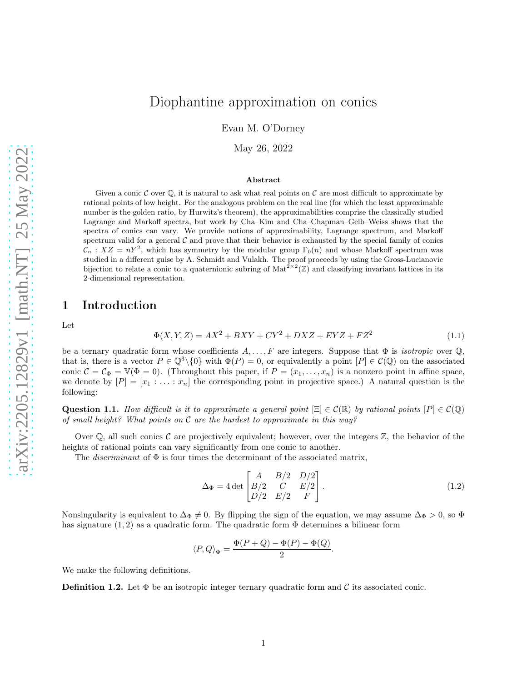# Diophantine approximation on conics

Evan M. O'Dorney

May 26, 2022

#### Abstract

Given a conic C over  $\mathbb{O}$ , it is natural to ask what real points on C are most difficult to approximate by rational points of low height. For the analogous problem on the real line (for which the least approximable number is the golden ratio, by Hurwitz's theorem), the approximabilities comprise the classically studied Lagrange and Markoff spectra, but work by Cha–Kim and Cha–Chapman–Gelb–Weiss shows that the spectra of conics can vary. We provide notions of approximability, Lagrange spectrum, and Markoff spectrum valid for a general  $\mathcal C$  and prove that their behavior is exhausted by the special family of conics  $\mathcal{C}_n$ :  $XZ = nY^2$ , which has symmetry by the modular group  $\Gamma_0(n)$  and whose Markoff spectrum was studied in a different guise by A. Schmidt and Vulakh. The proof proceeds by using the Gross-Lucianovic bijection to relate a conic to a quaternionic subring of  $\text{Mat}^{2\times 2}(\mathbb{Z})$  and classifying invariant lattices in its 2-dimensional representation.

### 1 Introduction

Let

$$
\Phi(X, Y, Z) = AX^2 + BXY + CY^2 + DXZ + EYZ + FZ^2
$$
\n(1.1)

be a ternary quadratic form whose coefficients  $A, \ldots, F$  are integers. Suppose that  $\Phi$  is *isotropic* over  $\mathbb{Q}$ . that is, there is a vector  $P \in \mathbb{Q}^3 \setminus \{0\}$  with  $\Phi(P) = 0$ , or equivalently a point  $[P] \in \mathcal{C}(\mathbb{Q})$  on the associated conic  $\mathcal{C} = \mathcal{C}_{\Phi} = \mathbb{V}(\Phi = 0)$ . (Throughout this paper, if  $P = (x_1, \ldots, x_n)$  is a nonzero point in affine space, we denote by  $[P] = [x_1 : \ldots : x_n]$  the corresponding point in projective space.) A natural question is the following:

Question 1.1. How difficult is it to approximate a general point  $[\Xi] \in \mathcal{C}(\mathbb{R})$  by rational points  $[P] \in \mathcal{C}(\mathbb{Q})$ of small height? What points on  $\mathcal C$  are the hardest to approximate in this way?

Over  $\mathbb Q$ , all such conics C are projectively equivalent; however, over the integers  $\mathbb Z$ , the behavior of the heights of rational points can vary significantly from one conic to another.

The *discriminant* of  $\Phi$  is four times the determinant of the associated matrix,

$$
\Delta_{\Phi} = 4 \det \begin{bmatrix} A & B/2 & D/2 \\ B/2 & C & E/2 \\ D/2 & E/2 & F \end{bmatrix} . \tag{1.2}
$$

.

Nonsingularity is equivalent to  $\Delta_{\Phi} \neq 0$ . By flipping the sign of the equation, we may assume  $\Delta_{\Phi} > 0$ , so  $\Phi$ has signature  $(1, 2)$  as a quadratic form. The quadratic form  $\Phi$  determines a bilinear form

$$
\langle P, Q \rangle_{\Phi} = \frac{\Phi(P+Q) - \Phi(P) - \Phi(Q)}{2}
$$

We make the following definitions.

**Definition 1.2.** Let  $\Phi$  be an isotropic integer ternary quadratic form and C its associated conic.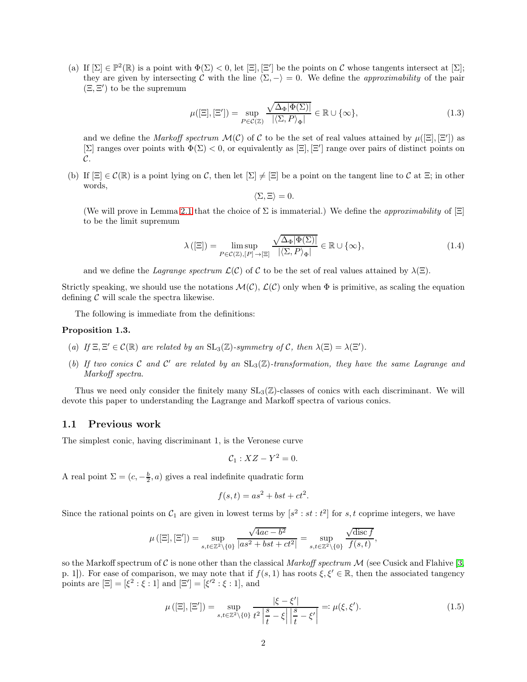(a) If  $[\Sigma] \in \mathbb{P}^2(\mathbb{R})$  is a point with  $\Phi(\Sigma) < 0$ , let  $[\Xi], [\Xi']$  be the points on C whose tangents intersect at  $[\Sigma]$ ; they are given by intersecting C with the line  $\langle \Sigma, - \rangle = 0$ . We define the *approximability* of the pair  $(\Xi, \Xi')$  to be the supremum

<span id="page-1-1"></span>
$$
\mu([\Xi],[\Xi']) = \sup_{P \in \mathcal{C}(\mathbb{Z})} \frac{\sqrt{\Delta_{\Phi}|\Phi(\Sigma)|}}{|\langle \Sigma, P \rangle_{\Phi}|} \in \mathbb{R} \cup \{\infty\},\tag{1.3}
$$

and we define the *Markoff spectrum*  $\mathcal{M}(\mathcal{C})$  of  $\mathcal C$  to be the set of real values attained by  $\mu([\Xi], [\Xi'])$  as  $[\Sigma]$  ranges over points with  $\Phi(\Sigma) < 0$ , or equivalently as  $[\Xi], [\Xi']$  range over pairs of distinct points on  $\mathcal{C}.$ 

(b) If  $[\Xi] \in \mathcal{C}(\mathbb{R})$  is a point lying on C, then let  $[\Sigma] \neq [\Xi]$  be a point on the tangent line to C at  $\Xi$ ; in other words,

$$
\langle \Sigma, \Xi \rangle = 0.
$$

(We will prove in Lemma [2.1](#page-3-0) that the choice of  $\Sigma$  is immaterial.) We define the *approximability* of  $[\Xi]$ to be the limit supremum

<span id="page-1-2"></span>
$$
\lambda([\Xi]) = \limsup_{P \in \mathcal{C}(\mathbb{Z}), [P] \to [\Xi]} \frac{\sqrt{\Delta_{\Phi} |\Phi(\Sigma)|}}{|\langle \Sigma, P \rangle_{\Phi}|} \in \mathbb{R} \cup \{\infty\},\tag{1.4}
$$

and we define the Lagrange spectrum  $\mathcal{L}(\mathcal{C})$  of C to be the set of real values attained by  $\lambda(\Xi)$ .

Strictly speaking, we should use the notations  $\mathcal{M}(\mathcal{C})$ ,  $\mathcal{L}(\mathcal{C})$  only when  $\Phi$  is primitive, as scaling the equation defining  $\mathcal C$  will scale the spectra likewise.

The following is immediate from the definitions:

#### Proposition 1.3.

- (a) If  $\Xi$ ,  $\Xi' \in \mathcal{C}(\mathbb{R})$  are related by an  $\text{SL}_3(\mathbb{Z})$ -symmetry of C, then  $\lambda(\Xi) = \lambda(\Xi').$
- (b) If two conics C and C' are related by an  $SL_3(\mathbb{Z})$ -transformation, they have the same Lagrange and Markoff spectra.

Thus we need only consider the finitely many  $SL_3(\mathbb{Z})$ -classes of conics with each discriminant. We will devote this paper to understanding the Lagrange and Markoff spectra of various conics.

#### <span id="page-1-3"></span>1.1 Previous work

The simplest conic, having discriminant 1, is the Veronese curve

$$
\mathcal{C}_1: XZ - Y^2 = 0.
$$

A real point  $\Sigma = (c, -\frac{b}{2}, a)$  gives a real indefinite quadratic form

$$
f(s,t) = as^2 + bst + ct^2.
$$

Since the rational points on  $C_1$  are given in lowest terms by  $[s^2 : st : t^2]$  for s, t coprime integers, we have

$$
\mu\left([\Xi],[\Xi']\right)=\sup_{s,t\in\mathbb{Z}^2\backslash\{0\}}\frac{\sqrt{4ac-b^2}}{|as^2+bst+ct^2|}=\sup_{s,t\in\mathbb{Z}^2\backslash\{0\}}\frac{\sqrt{\mathrm{disc}\,f}}{f(s,t)},
$$

so the Markoff spectrum of C is none other than the classical Markoff spectrum  $\mathcal M$  (see Cusick and Flahive [\[3,](#page-12-0) p. 1]). For ease of comparison, we may note that if  $f(s, 1)$  has roots  $\xi, \xi' \in \mathbb{R}$ , then the associated tangency points are  $[\Xi] = [\xi^2 : \xi : 1]$  and  $[\Xi'] = [\xi'^2 : \xi : 1]$ , and

<span id="page-1-0"></span>
$$
\mu([\Xi],[\Xi']) = \sup_{s,t \in \mathbb{Z}^2 \setminus \{0\}} \frac{|\xi - \xi'|}{t^2 \left| \frac{s}{t} - \xi \right| \left| \frac{s}{t} - \xi' \right|} =: \mu(\xi, \xi'). \tag{1.5}
$$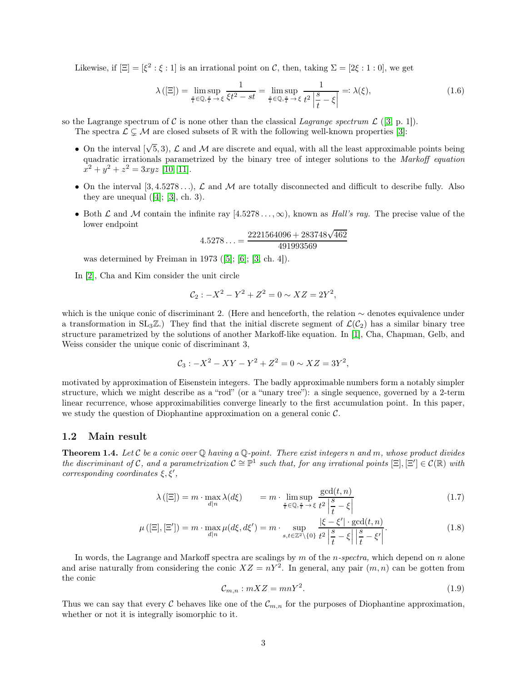Likewise, if  $[\Xi] = [\xi^2 : \xi : 1]$  is an irrational point on C, then, taking  $\Sigma = [2\xi : 1 : 0]$ , we get

<span id="page-2-1"></span>
$$
\lambda([\Xi]) = \limsup_{\frac{s}{t}\in\mathbb{Q},\frac{s}{t}\to\xi} \frac{1}{\xi t^2 - st} = \limsup_{\frac{s}{t}\in\mathbb{Q},\frac{s}{t}\to\xi} \frac{1}{t^2 \left|\frac{s}{t} - \xi\right|} =: \lambda(\xi),\tag{1.6}
$$

so the Lagrange spectrum of C is none other than the classical Lagrange spectrum  $\mathcal{L}$  ([\[3,](#page-12-0) p. 1]).

The spectra  $\mathcal{L} \subsetneq \mathcal{M}$  are closed subsets of R with the following well-known properties [\[3\]](#page-12-0):

- On the interval  $[\sqrt{5}, 3)$ ,  $\mathcal L$  and  $\mathcal M$  are discrete and equal, with all the least approximable points being quadratic irrationals parametrized by the binary tree of integer solutions to the Markoff equation  $x^2 + y^2 + z^2 = 3xyz$  [\[10,](#page-12-1) [11\]](#page-12-2).
- On the interval  $[3, 4.5278\dots]$ ,  $\mathcal L$  and  $\mathcal M$  are totally disconnected and difficult to describe fully. Also they are unequal  $([4]; [3], ch. 3)$  $([4]; [3], ch. 3)$  $([4]; [3], ch. 3)$  $([4]; [3], ch. 3)$  $([4]; [3], ch. 3)$ .
- Both  $\mathcal L$  and  $\mathcal M$  contain the infinite ray  $[4.5278\dots,\infty)$ , known as Hall's ray. The precise value of the lower endpoint

$$
4.5278\ldots = \frac{2221564096 + 283748\sqrt{462}}{491993569}
$$

was determined by Freiman in 1973 ([\[5\]](#page-12-4); [\[6\]](#page-12-5); [\[3,](#page-12-0) ch. 4]).

In [\[2\]](#page-12-6), Cha and Kim consider the unit circle

$$
C_2: -X^2 - Y^2 + Z^2 = 0 \sim XZ = 2Y^2,
$$

which is the unique conic of discriminant 2. (Here and henceforth, the relation ∼ denotes equivalence under a transformation in  $SL_3\mathbb{Z}$ .) They find that the initial discrete segment of  $\mathcal{L}(\mathcal{C}_2)$  has a similar binary tree structure parametrized by the solutions of another Markoff-like equation. In [\[1\]](#page-12-7), Cha, Chapman, Gelb, and Weiss consider the unique conic of discriminant 3,

$$
C_3: -X^2 - XY - Y^2 + Z^2 = 0 \sim XZ = 3Y^2,
$$

motivated by approximation of Eisenstein integers. The badly approximable numbers form a notably simpler structure, which we might describe as a "rod" (or a "unary tree"): a single sequence, governed by a 2-term linear recurrence, whose approximabilities converge linearly to the first accumulation point. In this paper, we study the question of Diophantine approximation on a general conic  $\mathcal{C}$ .

#### 1.2 Main result

<span id="page-2-0"></span>**Theorem 1.4.** Let C be a conic over  $\mathbb Q$  having a  $\mathbb Q$ -point. There exist integers n and m, whose product divides the discriminant of C, and a parametrization  $C \cong \mathbb{P}^1$  such that, for any irrational points  $[\Xi], [\Xi'] \in C(\mathbb{R})$  with corresponding coordinates  $\xi, \xi',$ 

$$
\lambda([\Xi]) = m \cdot \max_{d|n} \lambda(d\xi) = m \cdot \limsup_{\frac{s}{t} \in \mathbb{Q}, \frac{s}{t} \to \xi} \frac{\gcd(t, n)}{t^2 \left|\frac{s}{t} - \xi\right|} \tag{1.7}
$$

$$
\mu([\Xi],[\Xi']) = m \cdot \max_{d|n} \mu(d\xi, d\xi') = m \cdot \sup_{s,t \in \mathbb{Z}^2 \setminus \{0\}} \frac{|\xi - \xi'| \cdot \gcd(t, n)}{t^2 \left|\frac{s}{t} - \xi\right| \left|\frac{s}{t} - \xi'\right|}.
$$
(1.8)

In words, the Lagrange and Markoff spectra are scalings by  $m$  of the  $n$ -spectra, which depend on  $n$  alone and arise naturally from considering the conic  $XZ = nY^2$ . In general, any pair  $(m, n)$  can be gotten from the conic

$$
\mathcal{C}_{m,n} : mXZ = mnY^2. \tag{1.9}
$$

Thus we can say that every C behaves like one of the  $\mathcal{C}_{m,n}$  for the purposes of Diophantine approximation, whether or not it is integrally isomorphic to it.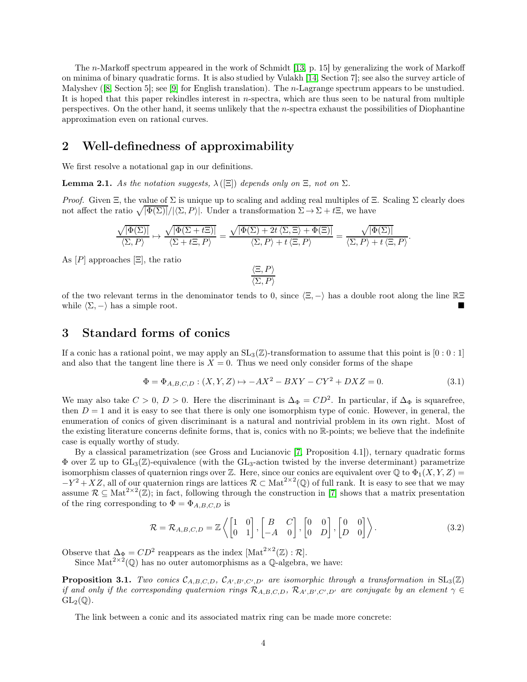The n-Markoff spectrum appeared in the work of Schmidt [\[13,](#page-12-8) p. 15] by generalizing the work of Markoff on minima of binary quadratic forms. It is also studied by Vulakh [\[14,](#page-12-9) Section 7]; see also the survey article of Malyshev ([\[8,](#page-12-10) Section 5]; see [\[9\]](#page-12-11) for English translation). The *n*-Lagrange spectrum appears to be unstudied. It is hoped that this paper rekindles interest in  $n$ -spectra, which are thus seen to be natural from multiple perspectives. On the other hand, it seems unlikely that the n-spectra exhaust the possibilities of Diophantine approximation even on rational curves.

# 2 Well-definedness of approximability

We first resolve a notational gap in our definitions.

<span id="page-3-0"></span>**Lemma 2.1.** As the notation suggests,  $\lambda([\Xi])$  depends only on  $\Xi$ , not on  $\Sigma$ .

*Proof.* Given  $\Xi$ , the value of  $\Sigma$  is unique up to scaling and adding real multiples of  $\Xi$ . Scaling  $\Sigma$  clearly does not affect the ratio  $\sqrt{|\Phi(\Sigma)|}/|\langle \Sigma, P \rangle|$ . Under a transformation  $\Sigma \to \Sigma + t\Xi$ , we have

$$
\frac{\sqrt{|\Phi(\Sigma)|}}{\langle \Sigma, P \rangle} \mapsto \frac{\sqrt{|\Phi(\Sigma + t\Xi)|}}{\langle \Sigma + t\Xi, P \rangle} = \frac{\sqrt{|\Phi(\Sigma) + 2t \langle \Sigma, \Xi \rangle + \Phi(\Xi)|}}{\langle \Sigma, P \rangle + t \langle \Xi, P \rangle} = \frac{\sqrt{|\Phi(\Sigma)|}}{\langle \Sigma, P \rangle + t \langle \Xi, P \rangle}
$$

As  $[P]$  approaches  $[\Xi]$ , the ratio

$$
\frac{\langle \Xi, P \rangle}{\langle \Sigma, P \rangle}
$$

of the two relevant terms in the denominator tends to 0, since  $\langle \Xi, -\rangle$  has a double root along the line RΞ while  $\langle \Sigma, -\rangle$  has a simple root.

## 3 Standard forms of conics

If a conic has a rational point, we may apply an  $SL_3(\mathbb{Z})$ -transformation to assume that this point is  $[0:0:1]$ and also that the tangent line there is  $X = 0$ . Thus we need only consider forms of the shape

<span id="page-3-1"></span>
$$
\Phi = \Phi_{A,B,C,D} : (X, Y, Z) \mapsto -AX^2 - BXY - CY^2 + DXZ = 0.
$$
\n(3.1)

.

We may also take  $C > 0$ ,  $D > 0$ . Here the discriminant is  $\Delta_{\Phi} = CD^2$ . In particular, if  $\Delta_{\Phi}$  is squarefree, then  $D = 1$  and it is easy to see that there is only one isomorphism type of conic. However, in general, the enumeration of conics of given discriminant is a natural and nontrivial problem in its own right. Most of the existing literature concerns definite forms, that is, conics with no R-points; we believe that the indefinite case is equally worthy of study.

By a classical parametrization (see Gross and Lucianovic [\[7,](#page-12-12) Proposition 4.1]), ternary quadratic forms  $\Phi$  over  $\mathbb{Z}$  up to  $GL_3(\mathbb{Z})$ -equivalence (with the  $GL_3$ -action twisted by the inverse determinant) parametrize isomorphism classes of quaternion rings over Z. Here, since our conics are equivalent over  $\mathbb Q$  to  $\Phi_1(X,Y,Z)$  =  $-Y^2+XZ$ , all of our quaternion rings are lattices  $\mathcal{R} \subset \text{Mat}^{2\times 2}(\mathbb{Q})$  of full rank. It is easy to see that we may assume  $\mathcal{R} \subseteq \text{Mat}^{2 \times 2}(\mathbb{Z})$ ; in fact, following through the construction in [\[7\]](#page-12-12) shows that a matrix presentation of the ring corresponding to  $\Phi = \Phi_{A,B,C,D}$  is

<span id="page-3-2"></span>
$$
\mathcal{R} = \mathcal{R}_{A,B,C,D} = \mathbb{Z}\left\{ \begin{bmatrix} 1 & 0 \\ 0 & 1 \end{bmatrix}, \begin{bmatrix} B & C \\ -A & 0 \end{bmatrix}, \begin{bmatrix} 0 & 0 \\ 0 & D \end{bmatrix}, \begin{bmatrix} 0 & 0 \\ D & 0 \end{bmatrix} \right\}.
$$
 (3.2)

Observe that  $\Delta_{\Phi} = CD^2$  reappears as the index  $[\text{Mat}^{2\times 2}(\mathbb{Z}):\mathcal{R}].$ 

Since  $\text{Mat}^{2\times 2}(\mathbb{Q})$  has no outer automorphisms as a  $\mathbb{Q}$ -algebra, we have:

**Proposition 3.1.** Two conics  $C_{A,B,C,D}$ ,  $C_{A',B',C',D'}$  are isomorphic through a transformation in  $SL_3(\mathbb{Z})$ if and only if the corresponding quaternion rings  $\mathcal{R}_{A,B,C,D}$ ,  $\mathcal{R}_{A',B',C',D'}$  are conjugate by an element  $\gamma \in$  $GL_2(\mathbb{Q})$ .

The link between a conic and its associated matrix ring can be made more concrete: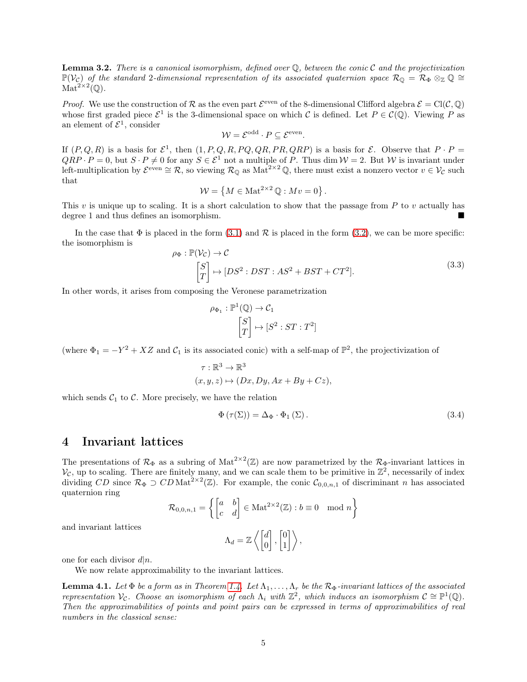**Lemma 3.2.** There is a canonical isomorphism, defined over  $\mathbb{O}$ , between the conic  $\mathcal{C}$  and the projectivization  $\mathbb{P}(\mathcal{V}_c)$  of the standard 2-dimensional representation of its associated quaternion space  $\mathcal{R}_{\mathbb{Q}} = \mathcal{R}_{\Phi} \otimes_{\mathbb{Z}} \mathbb{Q} \cong$  $\mathrm{Mat}^{2\times 2}(\mathbb{Q}).$ 

*Proof.* We use the construction of R as the even part  $\mathcal{E}^{\text{even}}$  of the 8-dimensional Clifford algebra  $\mathcal{E} = \text{Cl}(\mathcal{C}, \mathbb{Q})$ whose first graded piece  $\mathcal{E}^1$  is the 3-dimensional space on which C is defined. Let  $P \in \mathcal{C}(\mathbb{Q})$ . Viewing P as an element of  $\mathcal{E}^1$ , consider

$$
W = \mathcal{E}^{\text{odd}} \cdot P \subseteq \mathcal{E}^{\text{even}}.
$$

If  $(P,Q,R)$  is a basis for  $\mathcal{E}^1$ , then  $(1, P, Q, R, PQ, QR, PR, QRP)$  is a basis for  $\mathcal{E}$ . Observe that  $P \cdot P =$  $QRP \cdot P = 0$ , but  $S \cdot P \neq 0$  for any  $S \in \mathcal{E}^1$  not a multiple of P. Thus dim  $\mathcal{W} = 2$ . But W is invariant under left-multiplication by  $\mathcal{E}^{even} \cong \mathcal{R}$ , so viewing  $\mathcal{R}_{\mathbb{Q}}$  as  $\text{Mat}^{2 \times 2} \mathbb{Q}$ , there must exist a nonzero vector  $v \in \mathcal{V}_{\mathcal{C}}$  such that

$$
\mathcal{W} = \left\{ M \in \text{Mat}^{2 \times 2} \mathbb{Q} : Mv = 0 \right\}.
$$

This v is unique up to scaling. It is a short calculation to show that the passage from  $P$  to v actually has degree 1 and thus defines an isomorphism.

In the case that  $\Phi$  is placed in the form [\(3.1\)](#page-3-1) and  $\mathcal R$  is placed in the form [\(3.2\)](#page-3-2), we can be more specific: the isomorphism is

$$
\rho_{\Phi}: \mathbb{P}(\mathcal{V}_{\mathcal{C}}) \to \mathcal{C}
$$
  
\n
$$
\begin{bmatrix} S \\ T \end{bmatrix} \mapsto [DS^2: DST: AS^2 + BST + CT^2].
$$
\n(3.3)

In other words, it arises from composing the Veronese parametrization

$$
\rho_{\Phi_1} : \mathbb{P}^1(\mathbb{Q}) \to \mathcal{C}_1
$$

$$
\begin{bmatrix} S \\ T \end{bmatrix} \mapsto [S^2 : ST : T^2]
$$

(where  $\Phi_1 = -Y^2 + XZ$  and  $C_1$  is its associated conic) with a self-map of  $\mathbb{P}^2$ , the projectivization of

$$
\tau : \mathbb{R}^3 \to \mathbb{R}^3
$$
  

$$
(x, y, z) \mapsto (Dx, Dy, Ax + By + Cz),
$$

which sends  $C_1$  to C. More precisely, we have the relation

$$
\Phi\left(\tau(\Sigma)\right) = \Delta_{\Phi} \cdot \Phi_1\left(\Sigma\right). \tag{3.4}
$$

### 4 Invariant lattices

The presentations of  $\mathcal{R}_{\Phi}$  as a subring of Mat<sup>2×2</sup>( $\mathbb{Z}$ ) are now parametrized by the  $\mathcal{R}_{\Phi}$ -invariant lattices in  $V_c$ , up to scaling. There are finitely many, and we can scale them to be primitive in  $\mathbb{Z}^2$ , necessarily of index dividing  $CD$  since  $\mathcal{R}_{\Phi} \supset CD \text{Mat}^{2 \times 2}(\mathbb{Z})$ . For example, the conic  $\mathcal{C}_{0,0,n,1}$  of discriminant n has associated quaternion ring

$$
\mathcal{R}_{0,0,n,1} = \left\{ \begin{bmatrix} a & b \\ c & d \end{bmatrix} \in \text{Mat}^{2 \times 2}(\mathbb{Z}) : b \equiv 0 \mod n \right\}
$$

$$
\Lambda_d = \mathbb{Z} \left\langle \begin{bmatrix} d \\ 0 \end{bmatrix}, \begin{bmatrix} 0 \\ 1 \end{bmatrix} \right\rangle,
$$

and invariant lattices

one for each divisor  $d|n$ .

We now relate approximability to the invariant lattices.

<span id="page-4-0"></span>**Lemma 4.1.** Let  $\Phi$  be a form as in Theorem [1.4.](#page-2-0) Let  $\Lambda_1, \ldots, \Lambda_r$  be the  $\mathcal{R}_{\Phi}$ -invariant lattices of the associated representation  $V_c$ . Choose an isomorphism of each  $\Lambda_i$  with  $\mathbb{Z}^2$ , which induces an isomorphism  $C \cong \mathbb{P}^1(\mathbb{Q})$ . Then the approximabilities of points and point pairs can be expressed in terms of approximabilities of real numbers in the classical sense: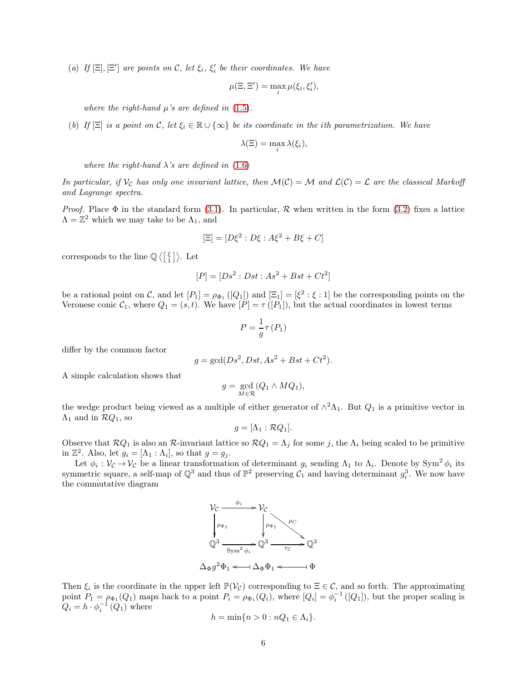<span id="page-5-0"></span>(a) If  $[\Xi], [\Xi']$  are points on C, let  $\xi_i, \xi'_i$  be their coordinates. We have

$$
\mu(\Xi, \Xi') = \max_{i} \mu(\xi_i, \xi'_i),
$$

where the right-hand  $\mu$ 's are defined in [\(1.5\)](#page-1-0).

<span id="page-5-1"></span>(b) If  $[\Xi]$  is a point on C, let  $\xi_i \in \mathbb{R} \cup {\infty}$  be its coordinate in the ith parametrization. We have

$$
\lambda(\Xi) = \max_i \lambda(\xi_i),
$$

where the right-hand  $\lambda$ 's are defined in [\(1.6\)](#page-2-1)

In particular, if  $V_c$  has only one invariant lattice, then  $\mathcal{M}(\mathcal{C}) = \mathcal{M}$  and  $\mathcal{L}(\mathcal{C}) = \mathcal{L}$  are the classical Markoff and Lagrange spectra.

*Proof.* Place  $\Phi$  in the standard form [\(3.1\)](#page-3-1). In particular,  $\mathcal R$  when written in the form [\(3.2\)](#page-3-2) fixes a lattice  $\Lambda = \mathbb{Z}^2$  which we may take to be  $\Lambda_1$ , and

$$
[\Xi] = [D\xi^2 : D\xi : A\xi^2 + B\xi + C]
$$

corresponds to the line  $\mathbb{Q}\left\langle \begin{bmatrix} \xi \\ 1 \end{bmatrix} \right\rangle$ . Let

$$
[P] = [Ds^2 : Dst : As^2 + Bst + Ct^2]
$$

be a rational point on C, and let  $[P_1] = \rho_{\Phi_1}([Q_1])$  and  $[\Xi_1] = [\xi^2 : \xi : 1]$  be the corresponding points on the Veronese conic  $C_1$ , where  $Q_1 = (s, t)$ . We have  $[P] = \tau([P_1])$ , but the actual coordinates in lowest terms

$$
P = \frac{1}{g}\tau(P_1)
$$

differ by the common factor

$$
g = \gcd(Ds^2, Dst, As^2 + Bst + Ct^2).
$$

A simple calculation shows that

$$
g = \gcd_{M \in \mathcal{R}}(Q_1 \wedge MQ_1),
$$

the wedge product being viewed as a multiple of either generator of  $\wedge^2 \Lambda_1$ . But  $Q_1$  is a primitive vector in  $\Lambda_1$  and in  $\mathcal{R}Q_1$ , so

$$
g=[\Lambda_1:\mathcal{R}Q_1].
$$

Observe that  $\mathcal{R}Q_1$  is also an  $\mathcal{R}\text{-invariant lattice so } \mathcal{R}Q_1 = \Lambda_j$  for some j, the  $\Lambda_i$  being scaled to be primitive in  $\mathbb{Z}^2$ . Also, let  $g_i = [\Lambda_1 : \Lambda_i]$ , so that  $g = g_j$ .

Let  $\phi_i : \mathcal{V}_{\mathcal{C}} \to \mathcal{V}_{\mathcal{C}}$  be a linear transformation of determinant  $g_i$  sending  $\Lambda_1$  to  $\Lambda_i$ . Denote by Sym<sup>2</sup>  $\phi_i$  its symmetric square, a self-map of  $\mathbb{Q}^3$  and thus of  $\mathbb{P}^2$  preserving  $\mathcal{C}_1$  and having determinant  $g_i^3$ . We now have the commutative diagram



Then  $\xi_i$  is the coordinate in the upper left  $\mathbb{P}(\mathcal{V}_c)$  corresponding to  $\Xi \in \mathcal{C}$ , and so forth. The approximating point  $P_1 = \rho_{\Phi_1}(Q_1)$  maps back to a point  $P_i = \rho_{\Phi_1}(Q_i)$ , where  $[Q_i] = \phi_i^{-1}([Q_1])$ , but the proper scaling is  $Q_i = h \cdot \phi_i^{-1}(Q_1)$  where

$$
h = \min\{n > 0 : nQ_1 \in \Lambda_i\}.
$$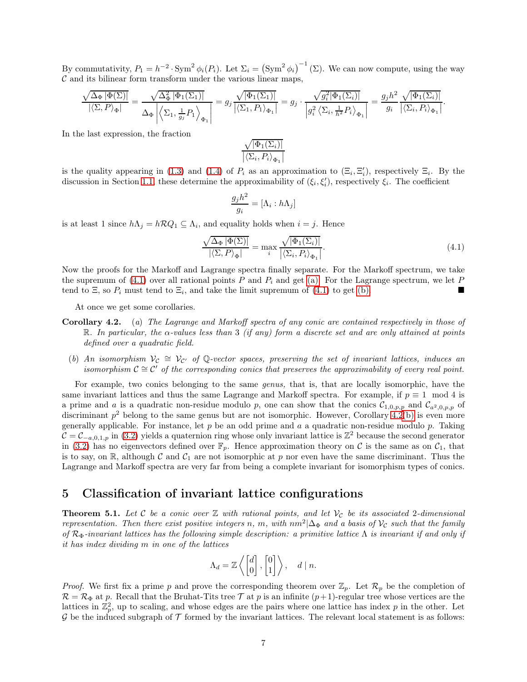By commutativity,  $P_1 = h^{-2} \cdot \text{Sym}^2 \phi_i(P_i)$ . Let  $\Sigma_i = (\text{Sym}^2 \phi_i)^{-1} (\Sigma)$ . We can now compute, using the way  $\mathcal C$  and its bilinear form transform under the various linear maps,

$$
\frac{\sqrt{\Delta_{\Phi}|\Phi(\Sigma)|}}{|\langle \Sigma, P \rangle_{\Phi}|} = \frac{\sqrt{\Delta_{\Phi}^2|\Phi_1(\Sigma_1)|}}{\Delta_{\Phi}\left|\left\langle \Sigma_1, \frac{1}{g_j}P_1\right\rangle_{\Phi_1}\right|} = g_j \cdot \frac{\sqrt{|\Phi_1(\Sigma_1)|}}{|\langle \Sigma_1, P_1 \rangle_{\Phi_1}|} = g_j \cdot \frac{\sqrt{g_i^2|\Phi_1(\Sigma_i)|}}{g_i^2 \langle \Sigma_i, \frac{1}{h^2}P_i \rangle_{\Phi_1}\right|} = \frac{g_j h^2}{g_i} \frac{\sqrt{|\Phi_1(\Sigma_i)|}}{|\langle \Sigma_i, P_i \rangle_{\Phi_1}|}.
$$

In the last expression, the fraction

$$
\frac{\sqrt{|\Phi_1(\Sigma_i)|}}{|\langle \Sigma_i, P_i \rangle_{\Phi_1}|}
$$

is the quality appearing in [\(1.3\)](#page-1-1) and [\(1.4\)](#page-1-2) of  $P_i$  as an approximation to  $(\Xi_i, \Xi'_i)$ , respectively  $\Xi_i$ . By the discussion in Section [1.1,](#page-1-3) these determine the approximability of  $(\xi_i, \xi'_i)$ , respectively  $\xi_i$ . The coefficient

$$
\frac{g_jh^2}{g_i} = [\Lambda_i : h\Lambda_j]
$$

is at least 1 since  $h\Lambda_j = h\mathcal{R}Q_1 \subseteq \Lambda_i$ , and equality holds when  $i = j$ . Hence

<span id="page-6-0"></span>
$$
\frac{\sqrt{\Delta_{\Phi} |\Phi(\Sigma)|}}{|\langle \Sigma, P \rangle_{\Phi}|} = \max_{i} \frac{\sqrt{|\Phi_1(\Sigma_i)|}}{|\langle \Sigma_i, P_i \rangle_{\Phi_1}|}.
$$
\n(4.1)

Now the proofs for the Markoff and Lagrange spectra finally separate. For the Markoff spectrum, we take the supremum of  $(4.1)$  over [a](#page-5-0)ll rational points P and  $P_i$  and get (a). For the Lagrange spectrum, we let P tend to  $\Xi$ , so  $P_i$  must tend to  $\Xi_i$ , and take the limit supremum of [\(4.1\)](#page-6-0) to get ([b](#page-5-1)).

At once we get some corollaries.

- <span id="page-6-1"></span>Corollary 4.2. (a) The Lagrange and Markoff spectra of any conic are contained respectively in those of R. In particular, the  $\alpha$ -values less than 3 (if any) form a discrete set and are only attained at points defined over a quadratic field.
	- (b) An isomorphism  $V_c \cong V_{C'}$  of Q-vector spaces, preserving the set of invariant lattices, induces an isomorphism  $C \cong C'$  of the corresponding conics that preserves the approximability of every real point.

For example, two conics belonging to the same genus, that is, that are locally isomorphic, have the same invariant lattices and thus the same Lagrange and Markoff spectra. For example, if  $p \equiv 1 \mod 4$  is a prime and a is a quadratic non-residue modulo p, one can show that the conics  $\mathcal{C}_{1,0,p,p}$  and  $\mathcal{C}_{a^2,0,p,p}$  of discriminant  $p^2$  [b](#page-6-1)elong to the same genus but are not isomorphic. However, Corollary 4.2(b) is even more generally applicable. For instance, let  $p$  be an odd prime and  $a$  a quadratic non-residue modulo  $p$ . Taking  $\mathcal{C} = \mathcal{C}_{-a,0,1,p}$  in [\(3.2\)](#page-3-2) yields a quaternion ring whose only invariant lattice is  $\mathbb{Z}^2$  because the second generator in [\(3.2\)](#page-3-2) has no eigenvectors defined over  $\mathbb{F}_p$ . Hence approximation theory on C is the same as on  $\mathcal{C}_1$ , that is to say, on R, although C and  $C_1$  are not isomorphic at p nor even have the same discriminant. Thus the Lagrange and Markoff spectra are very far from being a complete invariant for isomorphism types of conics.

### 5 Classification of invariant lattice configurations

**Theorem 5.1.** Let C be a conic over  $\mathbb{Z}$  with rational points, and let  $\mathcal{V}_c$  be its associated 2-dimensional representation. Then there exist positive integers n, m, with  $nm^2|\Delta_{\Phi}$  and a basis of  $\mathcal{V}_c$  such that the family of  $\mathcal{R}_{\Phi}$ -invariant lattices has the following simple description: a primitive lattice  $\Lambda$  is invariant if and only if it has index dividing m in one of the lattices

$$
\Lambda_d = \mathbb{Z}\left\langle \begin{bmatrix} d \\ 0 \end{bmatrix}, \begin{bmatrix} 0 \\ 1 \end{bmatrix} \right\rangle, \quad d \mid n.
$$

*Proof.* We first fix a prime p and prove the corresponding theorem over  $\mathbb{Z}_p$ . Let  $\mathcal{R}_p$  be the completion of  $\mathcal{R} = \mathcal{R}_{\Phi}$  at p. Recall that the Bruhat-Tits tree  $\mathcal{T}$  at p is an infinite  $(p+1)$ -regular tree whose vertices are the lattices in  $\mathbb{Z}_p^2$ , up to scaling, and whose edges are the pairs where one lattice has index p in the other. Let  $\mathcal G$  be the induced subgraph of  $\mathcal T$  formed by the invariant lattices. The relevant local statement is as follows: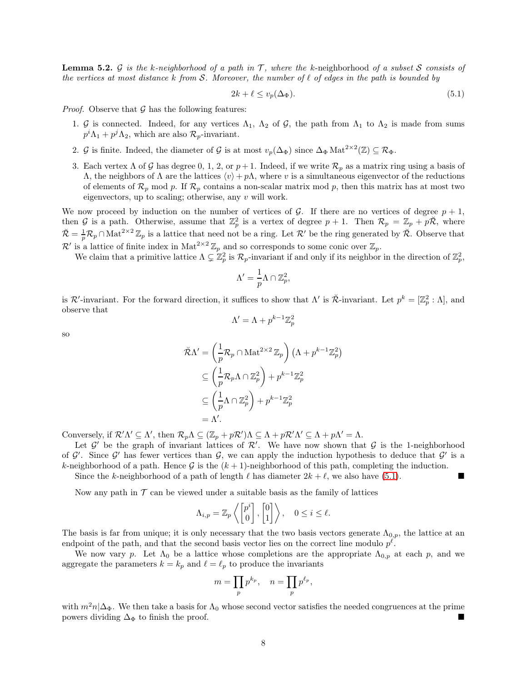<span id="page-7-1"></span>**Lemma 5.2.** G is the k-neighborhood of a path in T, where the k-neighborhood of a subset S consists of the vertices at most distance k from S. Moreover, the number of  $\ell$  of edges in the path is bounded by

<span id="page-7-0"></span>
$$
2k + \ell \le v_p(\Delta_{\Phi}).\tag{5.1}
$$

*Proof.* Observe that  $\mathcal G$  has the following features:

- 1. G is connected. Indeed, for any vertices  $\Lambda_1$ ,  $\Lambda_2$  of G, the path from  $\Lambda_1$  to  $\Lambda_2$  is made from sums  $p^i \Lambda_1 + p^j \Lambda_2$ , which are also  $\mathcal{R}_p$ -invariant.
- 2. G is finite. Indeed, the diameter of G is at most  $v_p(\Delta_{\Phi})$  since  $\Delta_{\Phi} \text{Mat}^{2 \times 2}(\mathbb{Z}) \subseteq \mathcal{R}_{\Phi}$ .
- 3. Each vertex  $\Lambda$  of G has degree 0, 1, 2, or  $p+1$ . Indeed, if we write  $\mathcal{R}_p$  as a matrix ring using a basis of Λ, the neighbors of Λ are the lattices  $\langle v \rangle + p\Lambda$ , where v is a simultaneous eigenvector of the reductions of elements of  $\mathcal{R}_p$  mod p. If  $\mathcal{R}_p$  contains a non-scalar matrix mod p, then this matrix has at most two eigenvectors, up to scaling; otherwise, any v will work.

We now proceed by induction on the number of vertices of G. If there are no vertices of degree  $p + 1$ , then G is a path. Otherwise, assume that  $\mathbb{Z}_p^2$  is a vertex of degree  $p+1$ . Then  $\mathcal{R}_p = \mathbb{Z}_p + p\mathbb{Z}$ , where  $\breve{\mathcal{R}} = \frac{1}{p} \mathcal{R}_p \cap \text{Mat}^{2 \times 2} \mathbb{Z}_p$  is a lattice that need not be a ring. Let  $\mathcal{R}'$  be the ring generated by  $\breve{\mathcal{R}}$ . Observe that  $\mathcal{R}'$  is a lattice of finite index in Mat<sup>2×2</sup>  $\mathbb{Z}_p$  and so corresponds to some conic over  $\mathbb{Z}_p$ .

We claim that a primitive lattice  $\Lambda \subsetneq \mathbb{Z}_p^2$  is  $\mathcal{R}_p$ -invariant if and only if its neighbor in the direction of  $\mathbb{Z}_p^2$ ,

$$
\Lambda' = \frac{1}{p} \Lambda \cap \mathbb{Z}_p^2,
$$

is  $\mathcal{R}'$ -invariant. For the forward direction, it suffices to show that  $\Lambda'$  is  $\tilde{\mathcal{R}}$ -invariant. Let  $p^k = [\mathbb{Z}_p^2 : \Lambda]$ , and observe that

$$
\Lambda' = \Lambda + p^{k-1} \mathbb{Z}_p^2
$$

so

$$
\tilde{\mathcal{R}}\Lambda' = \left(\frac{1}{p}\mathcal{R}_p \cap \text{Mat}^{2 \times 2} \mathbb{Z}_p\right) \left(\Lambda + p^{k-1}\mathbb{Z}_p^2\right)
$$

$$
\subseteq \left(\frac{1}{p}\mathcal{R}_p\Lambda \cap \mathbb{Z}_p^2\right) + p^{k-1}\mathbb{Z}_p^2
$$

$$
\subseteq \left(\frac{1}{p}\Lambda \cap \mathbb{Z}_p^2\right) + p^{k-1}\mathbb{Z}_p^2
$$

$$
= \Lambda'.
$$

Conversely, if  $\mathcal{R}'\Lambda' \subseteq \Lambda'$ , then  $\mathcal{R}_p\Lambda \subseteq (\mathbb{Z}_p + p\mathcal{R}')\Lambda \subseteq \Lambda + p\mathcal{R}'\Lambda' \subseteq \Lambda + p\Lambda' = \Lambda$ .

Let  $\mathcal{G}'$  be the graph of invariant lattices of  $\mathcal{R}'$ . We have now shown that  $\mathcal{G}$  is the 1-neighborhood of  $\mathcal{G}'$ . Since  $\mathcal{G}'$  has fewer vertices than  $\mathcal{G}$ , we can apply the induction hypothesis to deduce that  $\mathcal{G}'$  is a k-neighborhood of a path. Hence  $\mathcal G$  is the  $(k+1)$ -neighborhood of this path, completing the induction.

Since the k-neighborhood of a path of length  $\ell$  has diameter  $2k + \ell$ , we also have [\(5.1\)](#page-7-0).

Now any path in  $\mathcal T$  can be viewed under a suitable basis as the family of lattices

$$
\Lambda_{i,p} = \mathbb{Z}_p \left\langle \begin{bmatrix} p^i \\ 0 \end{bmatrix}, \begin{bmatrix} 0 \\ 1 \end{bmatrix} \right\rangle, \quad 0 \le i \le \ell.
$$

The basis is far from unique; it is only necessary that the two basis vectors generate  $\Lambda_{0,p}$ , the lattice at an endpoint of the path, and that the second basis vector lies on the correct line modulo  $p^{\ell}$ .

We now vary p. Let  $\Lambda_0$  be a lattice whose completions are the appropriate  $\Lambda_{0,p}$  at each p, and we aggregate the parameters  $k = k_p$  and  $\ell = \ell_p$  to produce the invariants

$$
m=\prod_p p^{k_p}, \quad n=\prod_p p^{\ell_p},
$$

with  $m^2n|\Delta_{\Phi}$ . We then take a basis for  $\Lambda_0$  whose second vector satisfies the needed congruences at the prime nowers dividing  $\Lambda_{\Phi}$  to finish the proof. powers dividing  $\Delta_{\Phi}$  to finish the proof.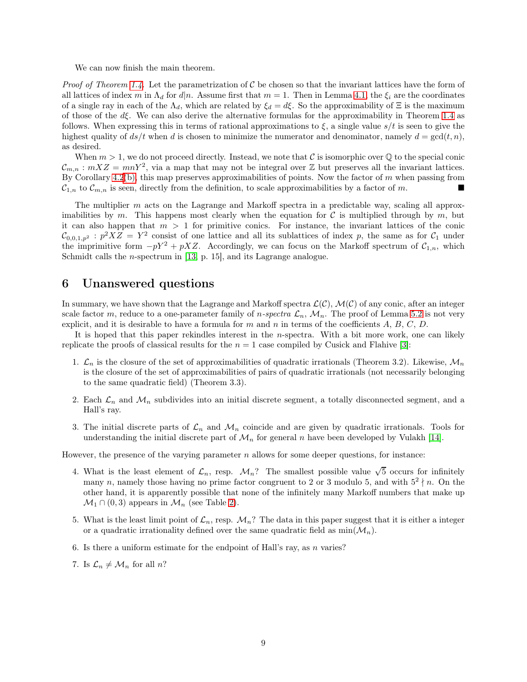We can now finish the main theorem.

*Proof of Theorem [1.4.](#page-2-0)* Let the parametrization of  $C$  be chosen so that the invariant lattices have the form of all lattices of index m in  $\Lambda_d$  for  $d|n$ . Assume first that  $m = 1$ . Then in Lemma [4.1,](#page-4-0) the  $\xi_i$  are the coordinates of a single ray in each of the  $\Lambda_d$ , which are related by  $\xi_d = d\xi$ . So the approximability of  $\Xi$  is the maximum of those of the  $d\xi$ . We can also derive the alternative formulas for the approximability in Theorem [1.4](#page-2-0) as follows. When expressing this in terms of rational approximations to  $\xi$ , a single value  $s/t$  is seen to give the highest quality of  $ds/t$  when d is chosen to minimize the numerator and denominator, namely  $d = \gcd(t, n)$ , as desired.

When  $m > 1$ , we do not proceed directly. Instead, we note that C is isomorphic over Q to the special conic  $\mathcal{C}_{m,n}$ :  $mXZ = mnY^2$ , via a map that may not be integral over Z but preserves all the invariant lattices. By Corollary  $4.2(b)$  $4.2(b)$  $4.2(b)$ , this map preserves approximabilities of points. Now the factor of m when passing from  $\mathcal{C}_{1,n}$  to  $\mathcal{C}_{m,n}$  is seen, directly from the definition, to scale approximabilities by a factor of m.

The multiplier  $m$  acts on the Lagrange and Markoff spectra in a predictable way, scaling all approximabilities by m. This happens most clearly when the equation for C is multiplied through by m, but it can also happen that  $m > 1$  for primitive conics. For instance, the invariant lattices of the conic  $\mathcal{C}_{0,0,1,p^2}$ :  $p^2 X Z = Y^2$  consist of one lattice and all its sublattices of index p, the same as for  $\mathcal{C}_1$  under the imprimitive form  $-pY^2 + pXZ$ . Accordingly, we can focus on the Markoff spectrum of  $\mathcal{C}_{1,n}$ , which Schmidt calls the n-spectrum in [\[13,](#page-12-8) p. 15], and its Lagrange analogue.

## 6 Unanswered questions

In summary, we have shown that the Lagrange and Markoff spectra  $\mathcal{L}(\mathcal{C})$ ,  $\mathcal{M}(\mathcal{C})$  of any conic, after an integer scale factor m, reduce to a one-parameter family of n-spectra  $\mathcal{L}_n$ ,  $\mathcal{M}_n$ . The proof of Lemma [5.2](#page-7-1) is not very explicit, and it is desirable to have a formula for m and n in terms of the coefficients  $A, B, C, D$ .

It is hoped that this paper rekindles interest in the *n*-spectra. With a bit more work, one can likely replicate the proofs of classical results for the  $n = 1$  case compiled by Cusick and Flahive [\[3\]](#page-12-0):

- 1.  $\mathcal{L}_n$  is the closure of the set of approximabilities of quadratic irrationals (Theorem 3.2). Likewise,  $\mathcal{M}_n$ is the closure of the set of approximabilities of pairs of quadratic irrationals (not necessarily belonging to the same quadratic field) (Theorem 3.3).
- 2. Each  $\mathcal{L}_n$  and  $\mathcal{M}_n$  subdivides into an initial discrete segment, a totally disconnected segment, and a Hall's ray.
- 3. The initial discrete parts of  $\mathcal{L}_n$  and  $\mathcal{M}_n$  coincide and are given by quadratic irrationals. Tools for understanding the initial discrete part of  $\mathcal{M}_n$  for general n have been developed by Vulakh [\[14\]](#page-12-9).

However, the presence of the varying parameter  $n$  allows for some deeper questions, for instance:

- 4. What is the least element of  $\mathcal{L}_n$ , resp.  $\mathcal{M}_n$ ? The smallest possible value  $\sqrt{5}$  occurs for infinitely many n, namely those having no prime factor congruent to 2 or 3 modulo 5, and with  $5^2 \nmid n$ . On the other hand, it is apparently possible that none of the infinitely many Markoff numbers that make up  $\mathcal{M}_1 \cap (0,3)$  appears in  $\mathcal{M}_n$  (see Table [2\)](#page-9-0).
- 5. What is the least limit point of  $\mathcal{L}_n$ , resp.  $\mathcal{M}_n$ ? The data in this paper suggest that it is either a integer or a quadratic irrationality defined over the same quadratic field as  $min(\mathcal{M}_n)$ .
- 6. Is there a uniform estimate for the endpoint of Hall's ray, as n varies?
- 7. Is  $\mathcal{L}_n \neq \mathcal{M}_n$  for all n?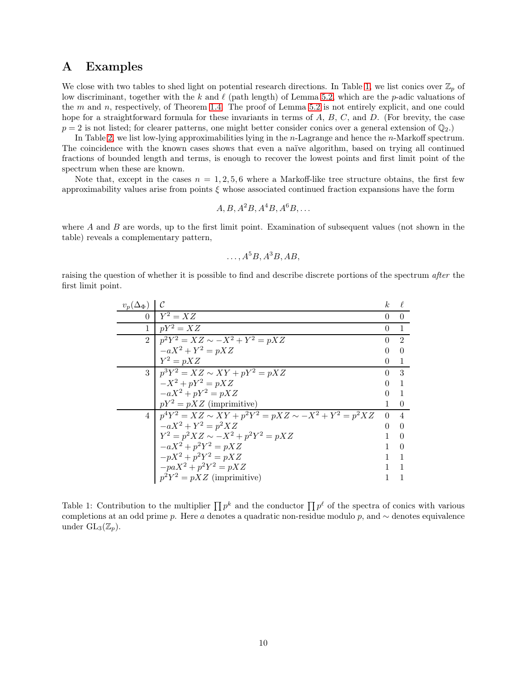### A Examples

We close with two tables to shed light on potential research directions. In Table [1,](#page-9-1) we list conics over  $\mathbb{Z}_p$  of low discriminant, together with the k and  $\ell$  (path length) of Lemma [5.2,](#page-7-1) which are the p-adic valuations of the  $m$  and  $n$ , respectively, of Theorem [1.4.](#page-2-0) The proof of Lemma [5.2](#page-7-1) is not entirely explicit, and one could hope for a straightforward formula for these invariants in terms of  $A, B, C$ , and  $D$ . (For brevity, the case  $p = 2$  is not listed; for clearer patterns, one might better consider conics over a general extension of  $\mathbb{Q}_2$ .)

In Table [2,](#page-9-0) we list low-lying approximabilities lying in the n-Lagrange and hence the n-Markoff spectrum. The coincidence with the known cases shows that even a naïve algorithm, based on trying all continued fractions of bounded length and terms, is enough to recover the lowest points and first limit point of the spectrum when these are known.

Note that, except in the cases  $n = 1, 2, 5, 6$  where a Markoff-like tree structure obtains, the first few approximability values arise from points  $\xi$  whose associated continued fraction expansions have the form

$$
A, B, A^2B, A^4B, A^6B, \ldots
$$

where  $A$  and  $B$  are words, up to the first limit point. Examination of subsequent values (not shown in the table) reveals a complementary pattern,

$$
\ldots, A^5B, A^3B, AB,
$$

raising the question of whether it is possible to find and describe discrete portions of the spectrum after the first limit point.

| $v_p(\Delta_{\Phi})$ |                                                              | k.       |                |
|----------------------|--------------------------------------------------------------|----------|----------------|
| $\Omega$             | $Y^2 = XZ$                                                   | $\Omega$ | $\Omega$       |
| 1                    | $pY^2 = XZ$                                                  | $\Omega$ | $\mathbf{1}$   |
| $\mathfrak{D}$       | $p^{2}Y^{2} = XZ \sim -X^{2} + Y^{2} = pXZ$                  | ∩        | $\mathcal{D}$  |
|                      | $-aX^2 + Y^2 = pXZ$                                          |          | $\Omega$       |
|                      | $Y^2 = pXZ$                                                  |          | 1              |
|                      | $3   p^3 Y^2 = XZ \sim XY + pY^2 = pXZ$                      | 0        | 3              |
|                      | $-X^2 + pY^2 = pXZ$                                          |          | 1              |
|                      | $-aX^2 + pY^2 = pXZ$                                         |          | $\mathbf{1}$   |
|                      | $pY^2 = pXZ$ (imprimitive)                                   |          | $\theta$       |
| $\overline{4}$       | $p^4Y^2 = XZ \sim XY + p^2Y^2 = pXZ \sim -X^2 + Y^2 = p^2XZ$ | $\Omega$ | $\overline{4}$ |
|                      | $-aX^2 + Y^2 = p^2XZ$                                        |          | $\Omega$       |
|                      | $Y^2 = p^2 X Z \sim -X^2 + p^2 Y^2 = p X Z$                  |          | $\Omega$       |
|                      | $-aX^2 + p^2Y^2 = pXZ$                                       |          | $\Omega$       |
|                      | $-pX^2+p^2Y^2=pXZ$                                           |          | 1              |
|                      | $-paX^2 + p^2Y^2 = pXZ$                                      |          |                |
|                      | $p^2Y^2 = pXZ$ (imprimitive)                                 |          |                |

<span id="page-9-1"></span><span id="page-9-0"></span>Table 1: Contribution to the multiplier  $\prod p^k$  and the conductor  $\prod p^{\ell}$  of the spectra of conics with various completions at an odd prime p. Here a denotes a quadratic non-residue modulo p, and  $\sim$  denotes equivalence under  $GL_3(\mathbb{Z}_p)$ .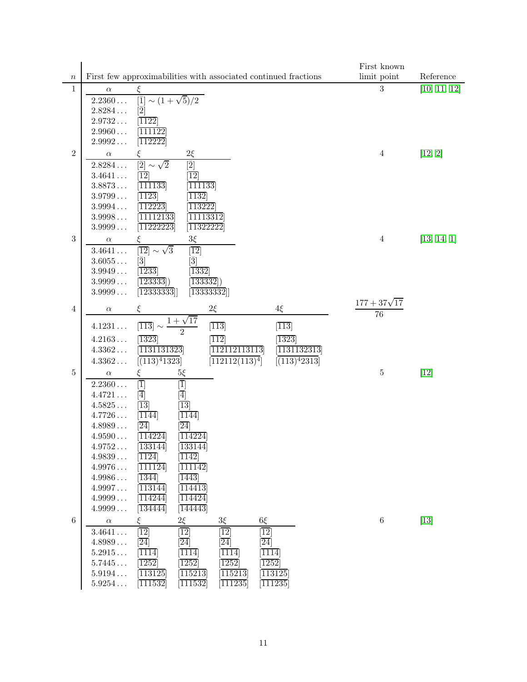|                |                  |                                                                                                                                                                         | First known                    |              |  |  |
|----------------|------------------|-------------------------------------------------------------------------------------------------------------------------------------------------------------------------|--------------------------------|--------------|--|--|
| $\, n$         |                  | First few approximabilities with associated continued fractions                                                                                                         | limit point                    | Reference    |  |  |
| 1              | $\alpha$         | ξ                                                                                                                                                                       | 3                              | [10, 11, 12] |  |  |
|                | $2.2360\dots$    | $ \bar{1}  \sim (1+\sqrt{5})/2$                                                                                                                                         |                                |              |  |  |
|                | $2.8284\ldots$   | $[\bar{2}]$                                                                                                                                                             |                                |              |  |  |
|                | $2.9732\ldots$   | $\left\lceil 1122\right\rceil$                                                                                                                                          |                                |              |  |  |
|                | $2.9960\ldots$   | 111122                                                                                                                                                                  |                                |              |  |  |
|                | 2.9992           | [112222]                                                                                                                                                                |                                |              |  |  |
| $\sqrt{2}$     | $\alpha$         | $2\xi$                                                                                                                                                                  | $\overline{4}$                 | [12, 2]      |  |  |
|                | 2.8284           | $\overline{[2]}$<br>$[\bar{2}]$<br>$\sim \sqrt{2}$                                                                                                                      |                                |              |  |  |
|                | 3.4641           | $\overline{12}$<br>$\overline{12}$                                                                                                                                      |                                |              |  |  |
|                | $3.8873\ldots$   | [111133]<br>$\overline{111133}$                                                                                                                                         |                                |              |  |  |
|                | 3.9799           | $\overline{1123}$<br>$\sqrt{1132}$                                                                                                                                      |                                |              |  |  |
|                | $3.9994\ldots$   | $\overline{113222}$<br>112223                                                                                                                                           |                                |              |  |  |
|                | 3.9998           | 11112133<br>11113312                                                                                                                                                    |                                |              |  |  |
|                | 3.9999           | 11222223<br>$\overline{11322222}$                                                                                                                                       |                                |              |  |  |
| $\sqrt{3}$     | $\alpha$         | $3\xi$                                                                                                                                                                  | $\overline{4}$                 | [13, 14, 1]  |  |  |
|                | 3.4641           | $ \overline{12}  \sim \sqrt{3}$<br>$\overline{12}$                                                                                                                      |                                |              |  |  |
|                | 3.6055           | $[\bar{3}]$<br>$[\bar{3}]$                                                                                                                                              |                                |              |  |  |
|                | 3.9949           | $\overline{1233}$<br>$\left[ 1332\right]$                                                                                                                               |                                |              |  |  |
|                | 3.9999           | [123333]<br>$\left[ 133332\right]$                                                                                                                                      |                                |              |  |  |
|                | 3.9999           | $\vert\overline{12333333} \vert\vert$<br>[13333332]                                                                                                                     |                                |              |  |  |
| $\overline{4}$ | $\alpha$         | $2\xi$<br>$4\xi$<br>ξ                                                                                                                                                   | $\frac{177 + 37\sqrt{17}}{76}$ |              |  |  |
|                |                  | $1 + \sqrt{17}$                                                                                                                                                         |                                |              |  |  |
|                | $4.1231\ldots$   | $\overline{[113]}$<br>$\overline{113}$<br>$\overline{113}$                                                                                                              |                                |              |  |  |
|                | $4.2163\ldots$   | 1323<br>$\left[ 1323\right]$<br>$\overline{112}$                                                                                                                        |                                |              |  |  |
|                | 4.3362           | 1131131323<br>112112113113<br>1131132313                                                                                                                                |                                |              |  |  |
|                | $4.3362\ldots$   | $\sqrt{(113)^4 2313}$<br>$(113)^4$ 1323<br>[112112(113) <sup>4</sup> ]                                                                                                  |                                |              |  |  |
| $\bf 5$        | $\alpha$         | $5\xi$                                                                                                                                                                  | 5                              | $[12]$       |  |  |
|                | $2.2360\ldots$   | $\overline{1}$<br>$[\overline{1}]$                                                                                                                                      |                                |              |  |  |
|                | 4.4721           | $\overline{4}]$<br>[4]                                                                                                                                                  |                                |              |  |  |
|                | $4.5825\ldots$   | $\overline{13}$<br>$ \overline{13} $                                                                                                                                    |                                |              |  |  |
|                | 4.7726           | $\overline{1144}$<br>$\overline{1144}$                                                                                                                                  |                                |              |  |  |
|                | 4.8989           | $\overline{24}$<br>$\overline{24}$                                                                                                                                      |                                |              |  |  |
|                | 4.9590           | 114224<br>114224                                                                                                                                                        |                                |              |  |  |
|                | 4.9752           | [133144]<br>[133144]                                                                                                                                                    |                                |              |  |  |
|                | 4.9839           | $\overline{1124}$<br>$\overline{ 1142 }$                                                                                                                                |                                |              |  |  |
|                | 4.9976           | $\overline{111124}$<br>$\overline{ 111142 }$                                                                                                                            |                                |              |  |  |
|                | 4.9986           | $\overline{1344}$<br>$\overline{1443}$                                                                                                                                  |                                |              |  |  |
|                | 4.9997           | [113144]<br>$\overline{114413}$                                                                                                                                         |                                |              |  |  |
|                | 4.9999           | $\overline{114244}$<br>[114424]                                                                                                                                         |                                |              |  |  |
|                | 4.9999           | 134444<br>$\overline{144443}$                                                                                                                                           |                                |              |  |  |
| $\,6\,$        | $\alpha$         | $2\xi$<br>$3\xi$<br>$6\xi$<br>ξ                                                                                                                                         | $\,6\,$                        | $[13]$       |  |  |
|                | 3.4641           | $\overline{12}$<br>$\overline{12}$<br>$\overline{12}$<br>$\overline{12}$                                                                                                |                                |              |  |  |
|                | 4.8989           | $\overline{24}$<br>$\overline{24}$<br>$\overline{24}$<br>$\overline{24}$                                                                                                |                                |              |  |  |
|                | $5.2915\ldots$   | $\overline{1114}$<br>$\overline{1114}$<br>$\overline{1114}$<br>$\overline{1114}$                                                                                        |                                |              |  |  |
|                | 5.7445<br>5.9194 | $\overline{ 1252 }$<br>$\overline{ 1252 }$<br>$\overline{ 1252 }$<br> 1252 <br>$\overline{113125}$<br>$\overline{115213}$<br>$\overline{115213}$<br>$\overline{113125}$ |                                |              |  |  |
|                | 5.9254           | $\overline{111532}$<br>[111235]<br>$\overline{111235}$<br>$\left[111532\right]$                                                                                         |                                |              |  |  |
|                |                  |                                                                                                                                                                         |                                |              |  |  |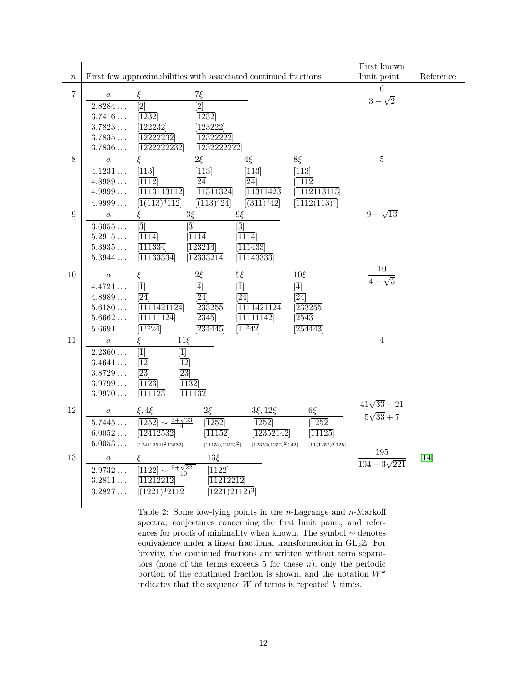|                  |                                  |                                                                 |                             |                               |                           | First known                           |           |
|------------------|----------------------------------|-----------------------------------------------------------------|-----------------------------|-------------------------------|---------------------------|---------------------------------------|-----------|
| $\boldsymbol{n}$ |                                  | First few approximabilities with associated continued fractions |                             |                               |                           | limit point                           | Reference |
| $\,7$            | $\alpha$                         | ξ                                                               | $7\xi$                      |                               |                           | 6                                     |           |
|                  | 2.8284                           | $\overline{2}$                                                  | $[\bar{2}]$                 |                               |                           | $3-\sqrt{2}$                          |           |
|                  | 3.7416                           | $\overline{ 1232 }$                                             | $\overline{1232}$           |                               |                           |                                       |           |
|                  | 3.7823                           | 122232                                                          | 123222                      |                               |                           |                                       |           |
|                  | $3.7835\ldots$                   | 12222232                                                        | 12322222                    |                               |                           |                                       |           |
|                  | 3.7836                           | $\overline{1222222232}$                                         | $\overline{1232222222}$     |                               |                           |                                       |           |
| 8                | $\alpha$                         | ξ                                                               | $2\xi$                      | $4\xi$                        | 8ξ                        | $\bf 5$                               |           |
|                  | 4.1231                           | $\overline{113}$                                                | $\overline{113}$            | $\overline{113}$              | $\overline{113}$          |                                       |           |
|                  | $4.8989\ldots$                   | $\overline{1112}$                                               | $\overline{24}$             | $\overline{24}$               | 1112                      |                                       |           |
|                  | $4.9999\ldots$                   | $\overline{1113113112}$                                         | [11311324]                  | $\overline{11311423}$         | $\overline{1112113113}$   |                                       |           |
|                  | 4.9999                           | [1(113) <sup>4</sup> 112]                                       | $\overline{(113)^424}$      | $\sqrt{(311)^442}$            | $\overline{1112(113)^4}$  |                                       |           |
| 9                | $\alpha$                         | ξ                                                               | $3\xi$                      | $9\xi$                        |                           | $9 - \sqrt{13}$                       |           |
|                  | 3.6055                           | $\left[\bar{3}\right]$                                          | $ \bar{3} $                 | $\left[\bar{3}\right]$        |                           |                                       |           |
|                  | $5.2915\ldots$                   | $\overline{1114}$                                               | 1114                        | $\overline{1114}$             |                           |                                       |           |
|                  | $5.3935\ldots$                   | $\overline{111334}$                                             | $\overline{123214}$         | $\overline{111433}$           |                           |                                       |           |
|                  | $5.3944\ldots$                   | $\overline{11133334}$                                           | $\overline{12333214}$       | [11143333]                    |                           |                                       |           |
|                  |                                  |                                                                 |                             |                               |                           |                                       |           |
| 10               | $\alpha$                         | ξ                                                               | $2\xi$                      | $5\xi$                        | $10\xi$                   | $\frac{10}{4-\sqrt{5}}$               |           |
|                  | 4.4721                           | $ \bar{1} $                                                     | $[\bar{4}]$                 | $ \bar{1} $                   | $[\bar{4}]$               |                                       |           |
|                  | $4.8989\ldots$                   | [24]<br>1111421124                                              | $\overline{24}$             | $\overline{24}$<br>1111421124 | $\overline{24}$<br>233255 |                                       |           |
|                  | $5.6180\ldots$<br>$5.6662\ldots$ | $\overline{11111124}$                                           | 233255<br>$\overline{2345}$ | $\overline{11111142}$         | $\sqrt{2543}$             |                                       |           |
|                  | $5.6691\ldots$                   | $\boxed{1^{12}24}$                                              | $\sqrt{234445}$             | $\boxed{1^{12}42}$            | $\sqrt{254443}$           |                                       |           |
| $11\,$           |                                  | ξ<br>$11\xi$                                                    |                             |                               |                           | $\bf 4$                               |           |
|                  | $\alpha$<br>2.2360               | $\overline{1}$<br>$[\bar{1}]$                                   |                             |                               |                           |                                       |           |
|                  | 3.4641                           | $\overline{12}$<br>$\overline{12}$                              |                             |                               |                           |                                       |           |
|                  | $3.8729\ldots$                   | $ \overline{23} $<br>$ \overline{23} $                          |                             |                               |                           |                                       |           |
|                  | $3.9799\ldots$                   | $\overline{1123}$<br>$\sqrt{1132}$                              |                             |                               |                           |                                       |           |
|                  | $3.9970\ldots$                   | $\overline{111123}$                                             | $\sqrt{111132}$             |                               |                           |                                       |           |
|                  |                                  |                                                                 |                             |                               |                           |                                       |           |
| 12               | $\alpha$                         | $\xi, 4\xi$                                                     | $2\xi$                      | $3\xi, 12\xi$                 | $6\xi$                    | $\frac{41\sqrt{33}-21}{5\sqrt{33}+7}$ |           |
|                  | 5.7445                           | $\sim \frac{3+\sqrt{33}}{2}$<br>1252                            | $\overline{1252}$           | $\overline{1252}$             | $\overline{1252}$         |                                       |           |
|                  | $6.0052\ldots$                   | 12412532                                                        | $\overline{11152}$          | $\overline{12352142}$         | $\sqrt{11125}$            |                                       |           |
|                  | 6.0053                           | $[124(1252)^212532]$                                            | $\overline{11152(1252)^2}$  | $[12352(1252)^2142]$          | $[11(1252)^{2}125]$       | 195                                   |           |
| 13               | $\alpha$                         | ε                                                               | $13\xi$                     |                               |                           | $104 - 3\sqrt{221}$                   | $[14]$    |
|                  | 2.9732                           | $\frac{9+\sqrt{221}}{10}$<br>1122                               | 1122                        |                               |                           |                                       |           |
|                  | $3.2811\ldots$                   | $\overline{11212212}$                                           | $\overline{11212212}$       |                               |                           |                                       |           |
|                  | 3.2827                           | $\sqrt{(1221)^32112}$                                           | $[1221(2112)^3]$            |                               |                           |                                       |           |
|                  |                                  |                                                                 |                             |                               |                           |                                       |           |

Table 2: Some low-lying points in the  $n$ -Lagrange and  $n$ -Markoff spectra; conjectures concerning the first limit point; and references for proofs of minimality when known. The symbol ∼ denotes equivalence under a linear fractional transformation in  $GL_2\mathbb{Z}$ . For brevity, the continued fractions are written without term separators (none of the terms exceeds for these  $n$ ), only the periodic portion of the continued fraction is shown, and the notation  $W^k$ indicates that the sequence  $W$  of terms is repeated  $k$  times.